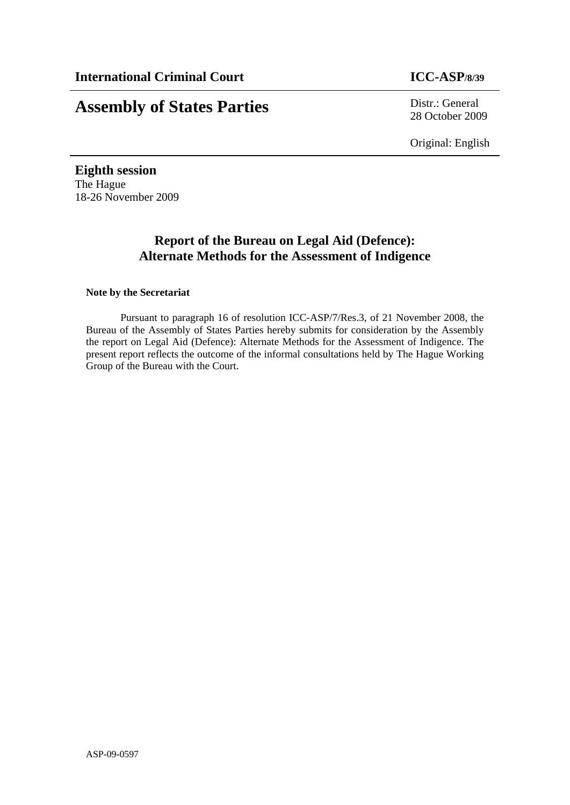# **Assembly of States Parties** Distr.: General

28 October 2009

Original: English

**Eighth session**  The Hague 18-26 November 2009

## **Report of the Bureau on Legal Aid (Defence): Alternate Methods for the Assessment of Indigence**

#### **Note by the Secretariat**

Pursuant to paragraph 16 of resolution ICC-ASP/7/Res.3, of 21 November 2008, the Bureau of the Assembly of States Parties hereby submits for consideration by the Assembly the report on Legal Aid (Defence): Alternate Methods for the Assessment of Indigence. The present report reflects the outcome of the informal consultations held by The Hague Working Group of the Bureau with the Court.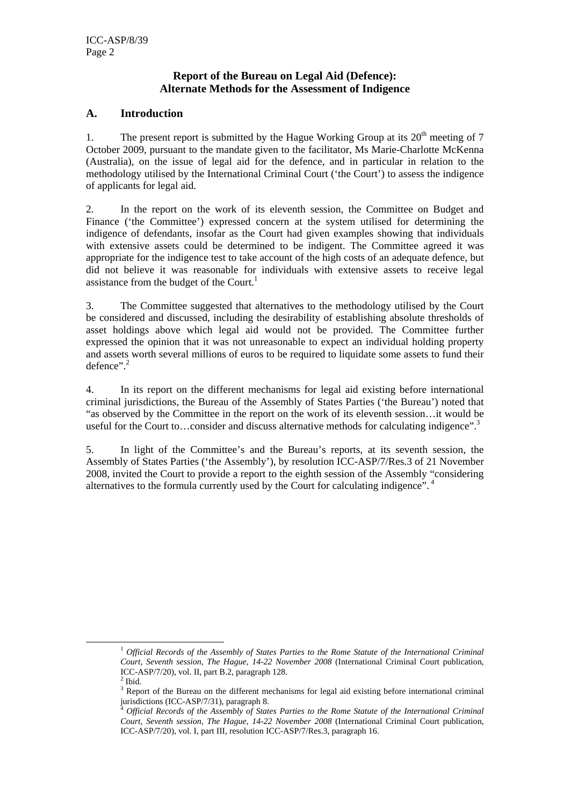#### **Report of the Bureau on Legal Aid (Defence): Alternate Methods for the Assessment of Indigence**

#### **A. Introduction**

1. The present report is submitted by the Hague Working Group at its  $20<sup>th</sup>$  meeting of 7 October 2009, pursuant to the mandate given to the facilitator, Ms Marie-Charlotte McKenna (Australia), on the issue of legal aid for the defence, and in particular in relation to the methodology utilised by the International Criminal Court ('the Court') to assess the indigence of applicants for legal aid.

2. In the report on the work of its eleventh session, the Committee on Budget and Finance ('the Committee') expressed concern at the system utilised for determining the indigence of defendants, insofar as the Court had given examples showing that individuals with extensive assets could be determined to be indigent. The Committee agreed it was appropriate for the indigence test to take account of the high costs of an adequate defence, but did not believe it was reasonable for individuals with extensive assets to receive legal assistance from the budget of the Court.<sup>1</sup>

3. The Committee suggested that alternatives to the methodology utilised by the Court be considered and discussed, including the desirability of establishing absolute thresholds of asset holdings above which legal aid would not be provided. The Committee further expressed the opinion that it was not unreasonable to expect an individual holding property and assets worth several millions of euros to be required to liquidate some assets to fund their defence".<sup>2</sup>

4. In its report on the different mechanisms for legal aid existing before international criminal jurisdictions, the Bureau of the Assembly of States Parties ('the Bureau') noted that "as observed by the Committee in the report on the work of its eleventh session…it would be useful for the Court to...consider and discuss alternative methods for calculating indigence".<sup>3</sup>

5. In light of the Committee's and the Bureau's reports, at its seventh session, the Assembly of States Parties ('the Assembly'), by resolution ICC-ASP/7/Res.3 of 21 November 2008, invited the Court to provide a report to the eighth session of the Assembly "considering alternatives to the formula currently used by the Court for calculating indigence". 4

 <sup>1</sup> *Official Records of the Assembly of States Parties to the Rome Statute of the International Criminal Court, Seventh session, The Hague, 14-22 November 2008* (International Criminal Court publication, ICC-ASP/7/20), vol. II, part B.2, paragraph 128.

 $<sup>2</sup>$  Ibid.</sup>

<sup>&</sup>lt;sup>3</sup> Report of the Bureau on the different mechanisms for legal aid existing before international criminal  $j$ urisdictions (ICC-ASP/7/31), paragraph 8.

<sup>4</sup> *Official Records of the Assembly of States Parties to the Rome Statute of the International Criminal Court, Seventh session, The Hague, 14-22 November 2008* (International Criminal Court publication, ICC-ASP/7/20), vol. I, part III, resolution ICC-ASP/7/Res.3, paragraph 16.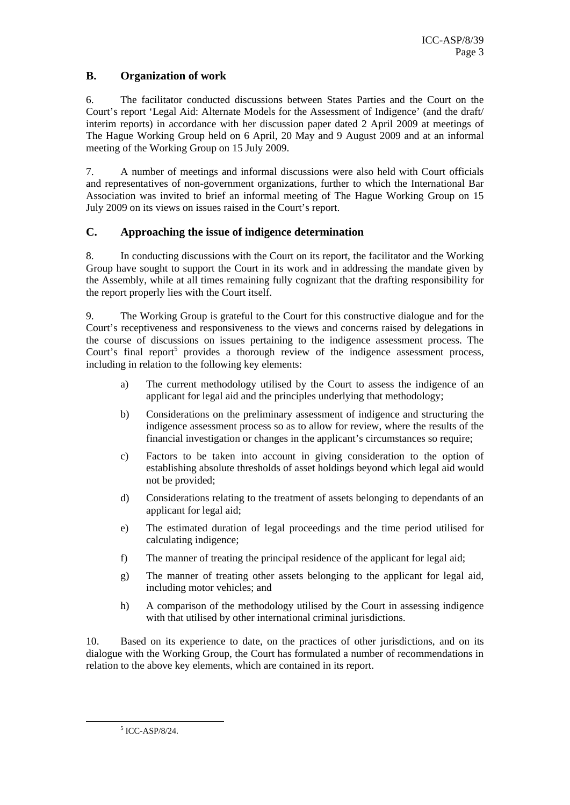### **B. Organization of work**

6. The facilitator conducted discussions between States Parties and the Court on the Court's report 'Legal Aid: Alternate Models for the Assessment of Indigence' (and the draft/ interim reports) in accordance with her discussion paper dated 2 April 2009 at meetings of The Hague Working Group held on 6 April, 20 May and 9 August 2009 and at an informal meeting of the Working Group on 15 July 2009.

7. A number of meetings and informal discussions were also held with Court officials and representatives of non-government organizations, further to which the International Bar Association was invited to brief an informal meeting of The Hague Working Group on 15 July 2009 on its views on issues raised in the Court's report.

#### **C. Approaching the issue of indigence determination**

8. In conducting discussions with the Court on its report, the facilitator and the Working Group have sought to support the Court in its work and in addressing the mandate given by the Assembly, while at all times remaining fully cognizant that the drafting responsibility for the report properly lies with the Court itself.

9. The Working Group is grateful to the Court for this constructive dialogue and for the Court's receptiveness and responsiveness to the views and concerns raised by delegations in the course of discussions on issues pertaining to the indigence assessment process. The Court's final report<sup>5</sup> provides a thorough review of the indigence assessment process, including in relation to the following key elements:

- a) The current methodology utilised by the Court to assess the indigence of an applicant for legal aid and the principles underlying that methodology;
- b) Considerations on the preliminary assessment of indigence and structuring the indigence assessment process so as to allow for review, where the results of the financial investigation or changes in the applicant's circumstances so require;
- c) Factors to be taken into account in giving consideration to the option of establishing absolute thresholds of asset holdings beyond which legal aid would not be provided;
- d) Considerations relating to the treatment of assets belonging to dependants of an applicant for legal aid;
- e) The estimated duration of legal proceedings and the time period utilised for calculating indigence;
- f) The manner of treating the principal residence of the applicant for legal aid;
- g) The manner of treating other assets belonging to the applicant for legal aid, including motor vehicles; and
- h) A comparison of the methodology utilised by the Court in assessing indigence with that utilised by other international criminal jurisdictions.

10. Based on its experience to date, on the practices of other jurisdictions, and on its dialogue with the Working Group, the Court has formulated a number of recommendations in relation to the above key elements, which are contained in its report.

 $\frac{1}{5}$  $5$  ICC-ASP/8/24.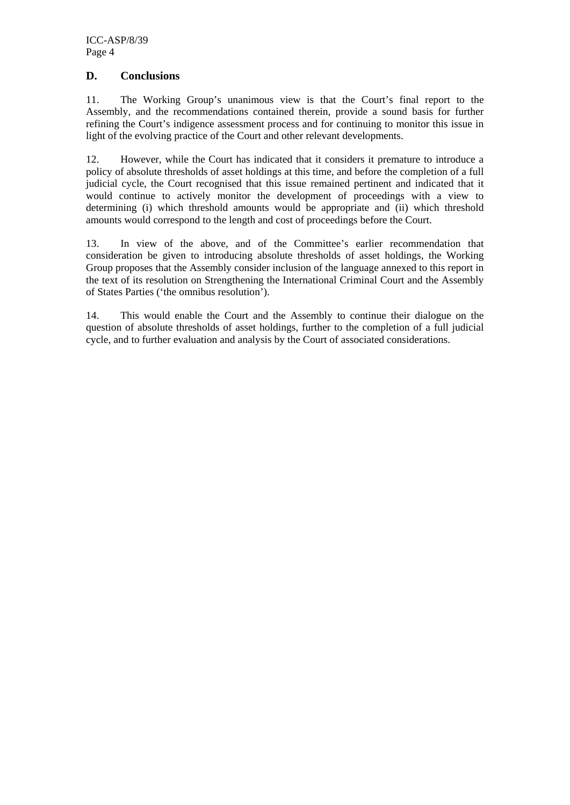#### **D. Conclusions**

11. The Working Group's unanimous view is that the Court's final report to the Assembly, and the recommendations contained therein, provide a sound basis for further refining the Court's indigence assessment process and for continuing to monitor this issue in light of the evolving practice of the Court and other relevant developments.

12. However, while the Court has indicated that it considers it premature to introduce a policy of absolute thresholds of asset holdings at this time, and before the completion of a full judicial cycle, the Court recognised that this issue remained pertinent and indicated that it would continue to actively monitor the development of proceedings with a view to determining (i) which threshold amounts would be appropriate and (ii) which threshold amounts would correspond to the length and cost of proceedings before the Court.

13. In view of the above, and of the Committee's earlier recommendation that consideration be given to introducing absolute thresholds of asset holdings, the Working Group proposes that the Assembly consider inclusion of the language annexed to this report in the text of its resolution on Strengthening the International Criminal Court and the Assembly of States Parties ('the omnibus resolution').

14. This would enable the Court and the Assembly to continue their dialogue on the question of absolute thresholds of asset holdings, further to the completion of a full judicial cycle, and to further evaluation and analysis by the Court of associated considerations.